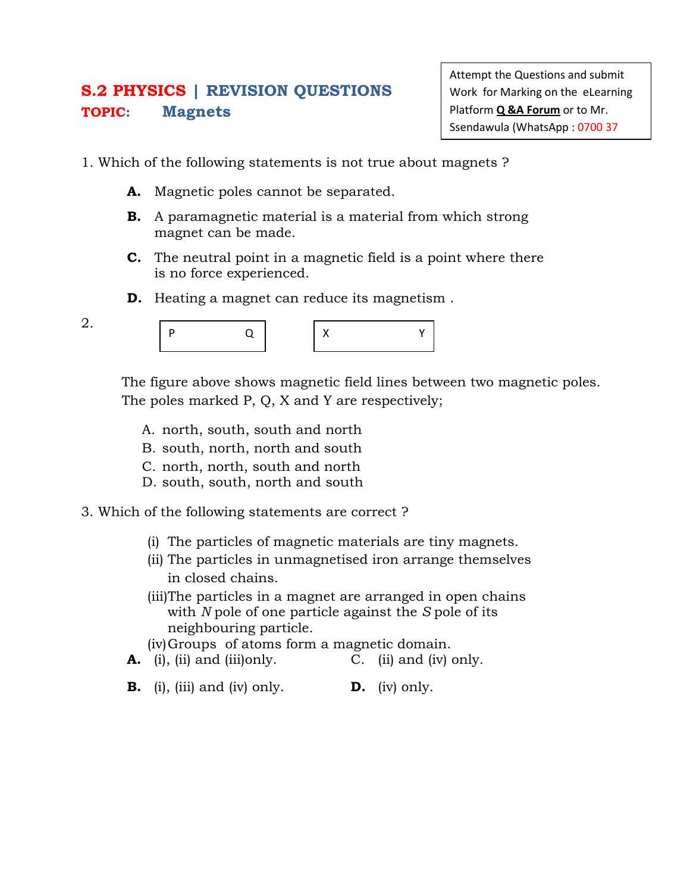## **S.2 PHYSICS | REVISION QUESTIONS TOPIC: Magnets**

Attempt the Questions and submit Work for Marking on the eLearning Platform **Q &A Forum** or to Mr. Ssendawula (WhatsApp : 0700 37

- 1. Which of the following statements is not true about magnets ?
	- **A.** Magnetic poles cannot be separated.
	- **B.** A paramagnetic material is a material from which strong magnet can be made.
	- **C.** The neutral point in a magnetic field is a point where there is no force experienced.
	- **D.** Heating a magnet can reduce its magnetism.

| ۰. |  |
|----|--|

|--|--|--|--|

The figure above shows magnetic field lines between two magnetic poles. The poles marked P, Q, X and Y are respectively;

- A. north, south, south and north
- B. south, north, north and south
- C. north, north, south and north
- D. south, south, north and south
- 3. Which of the following statements are correct ?
	- (i) The particles of magnetic materials are tiny magnets.
	- (ii) The particles in unmagnetised iron arrange themselves in closed chains.
	- (iii)The particles in a magnet are arranged in open chains with *N* pole of one particle against the *S* pole of its neighbouring particle.
	- (iv)Groups of atoms form a magnetic domain.
	- **A.** (i), (ii) and (iii)only. C. (ii) and (iv) only.
	- **B.** (i), (iii) and (iv) only. **D.** (iv) only.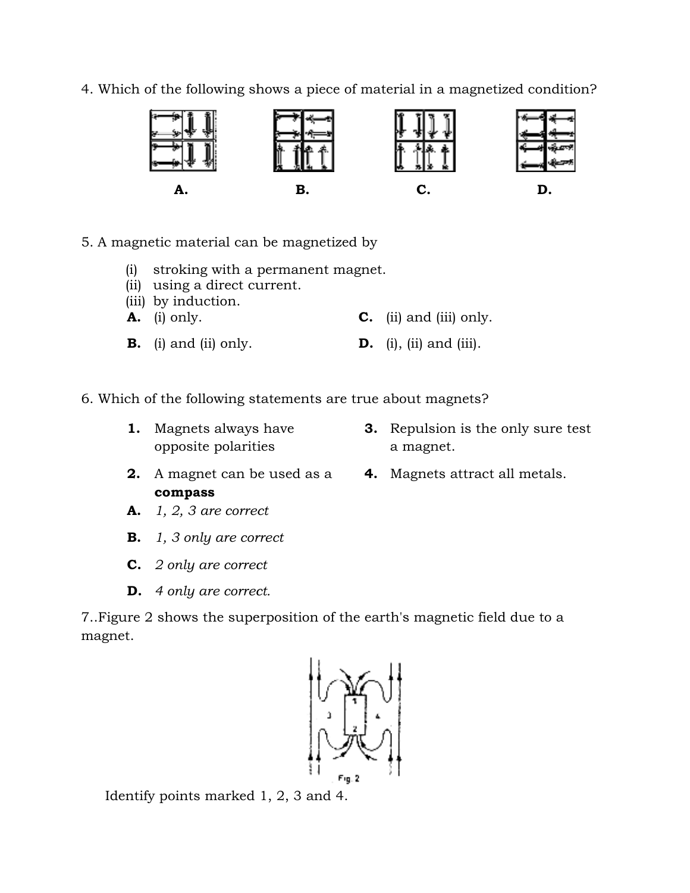4. Which of the following shows a piece of material in a magnetized condition?



- 5. A magnetic material can be magnetized by
	- (i) stroking with a permanent magnet.
	- (ii) using a direct current.
	- (iii) by induction.
	- **A.** (i) only. **C.** (ii) and (iii) only.
	- **B.** (i) and (ii) only. **D.** (i), (ii) and (iii).
- 6. Which of the following statements are true about magnets?
	- **1.** Magnets always have opposite polarities
- **3.** Repulsion is the only sure test a magnet. **3.** Repulsion is the only sure<br>a magnet.<br>**4.** Magnets attract all metals.
- **2.** A magnet can be used as a **compass**
- 

- **A.** 1, 2, 3 are correct
- **B.** *1, 3 only are correct*
- **C.** *2 only are correct*
- **D.** *4 only are correct.*

7. Figure 2 shows the superposition of the earth's magnetic field due to a magnet. **A. B. C. D.**<br> **D.**<br> **D.**<br> **D.**<br> **D.**<br> **C.** (ii) using a direct current.<br>
(iii) using a direct current.<br>
(iii) by induction.<br> **B.** (i) and (ii) only.<br> **D.** (i), (ii) and (iii) only.<br> **D.** (i), (ii) and (iii).<br>
(iii)



Identify points marked 1, 2, 3 and 4.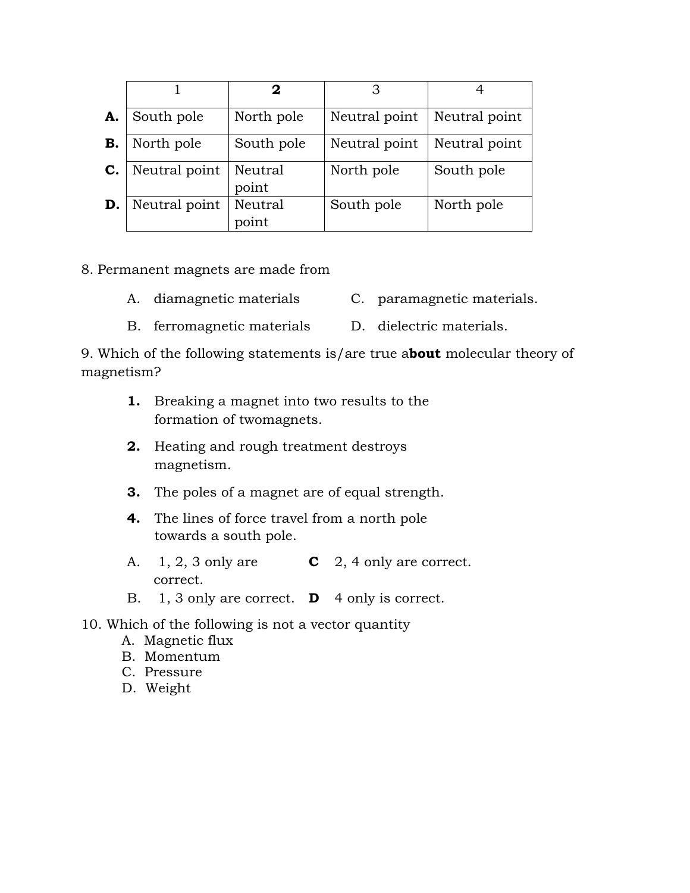|           |               | 2                |               |               |
|-----------|---------------|------------------|---------------|---------------|
| A.        | South pole    | North pole       | Neutral point | Neutral point |
| <b>B.</b> | North pole    | South pole       | Neutral point | Neutral point |
| C.        | Neutral point | Neutral<br>point | North pole    | South pole    |
| D.        | Neutral point | Neutral<br>point | South pole    | North pole    |

8. Permanent magnets are made from

- A. diamagnetic materials C. paramagnetic materials.
- B. ferromagnetic materials D. dielectric materials.

9. Which of the following statements is/are true a**bout** molecular theory of magnetism?

- **1.** Breaking a magnet into two results to the formation of twomagnets.
- **2.** Heating and rough treatment destroys magnetism.
- **3.** The poles of a magnet are of equal strength.
- **4.** The lines of force travel from a north pole towards a south pole.
- A. 1, 2, 3 only are correct. **C** 2, 4 only are correct.
- B. 1, 3 only are correct. **D** 4 only is correct.

10. Which of the following is not a vector quantity

- A. Magnetic flux
- B. Momentum
- C. Pressure
- D. Weight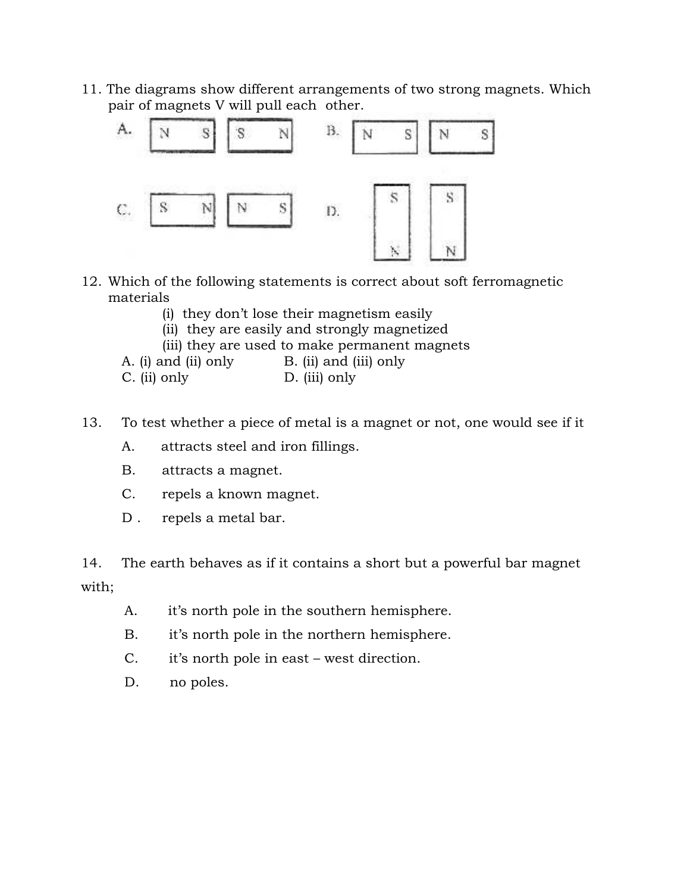11. The diagrams show different arrangements of two strong magnets. Which pair of magnets V will pull each other.



- 12. Which of the following statements is correct about soft ferromagnetic materials
	- (i) they don't lose their magnetism easily
	- (ii) they are easily and strongly magnetized
	- (iii) they are used to make permanent magnets

A. (i) and (ii) only B. (ii) and (iii) only

C. (ii) only D. (iii) only

- 13. To test whether a piece of metal is a magnet or not, one would see if it
	- A. attracts steel and iron fillings.
	- B. attracts a magnet.
	- C. repels a known magnet.
	- D. repels a metal bar.

14. The earth behaves as if it contains a short but a powerful bar magnet with;

- A. it's north pole in the southern hemisphere.
- B. it's north pole in the northern hemisphere.
- C. it's north pole in east west direction.
- D. no poles.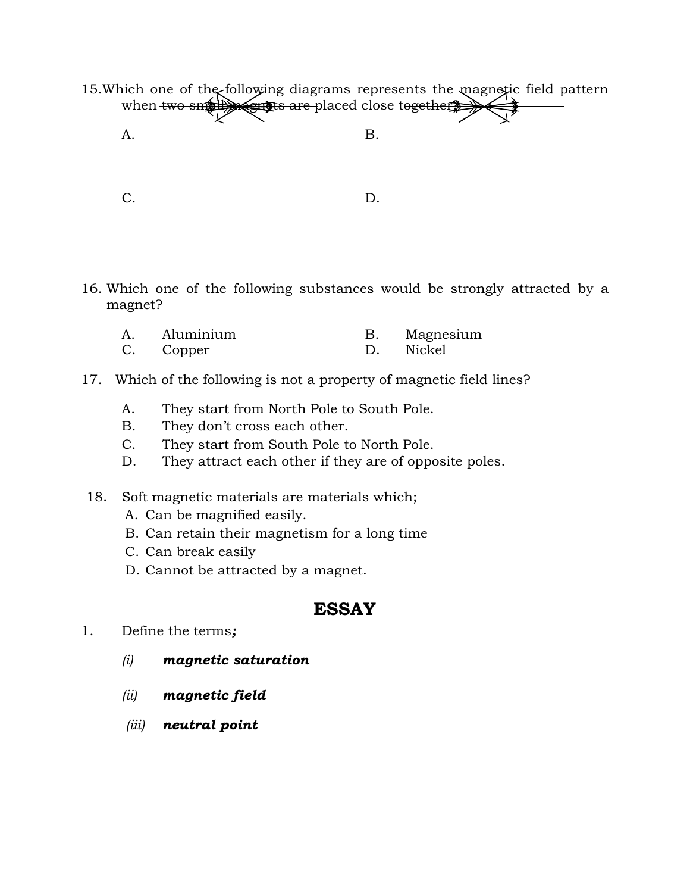- 15. Which one of the following diagrams represents the magnetic field pattern when two smill says are placed close together? A. B.
	-

C. D.

16. Which one of the following substances would be strongly attracted by a magnet?

| A. | Aluminium | Magnesium |
|----|-----------|-----------|
| C. | Copper    | Nickel    |

- 17. Which of the following is not a property of magnetic field lines?
	- A. They start from North Pole to South Pole.
	- B. They don't cross each other.
	- C. They start from South Pole to North Pole.
	- D. They attract each other if they are of opposite poles.
- 18. Soft magnetic materials are materials which;
	- A. Can be magnified easily.
	- B. Can retain their magnetism for a long time
	- C. Can break easily
	- D. Cannot be attracted by a magnet.

## **ESSAY**

- 1. Define the terms*;*
	- *(i) magnetic saturation*
	- *(ii) magnetic field*
	- *(iii) neutral point*